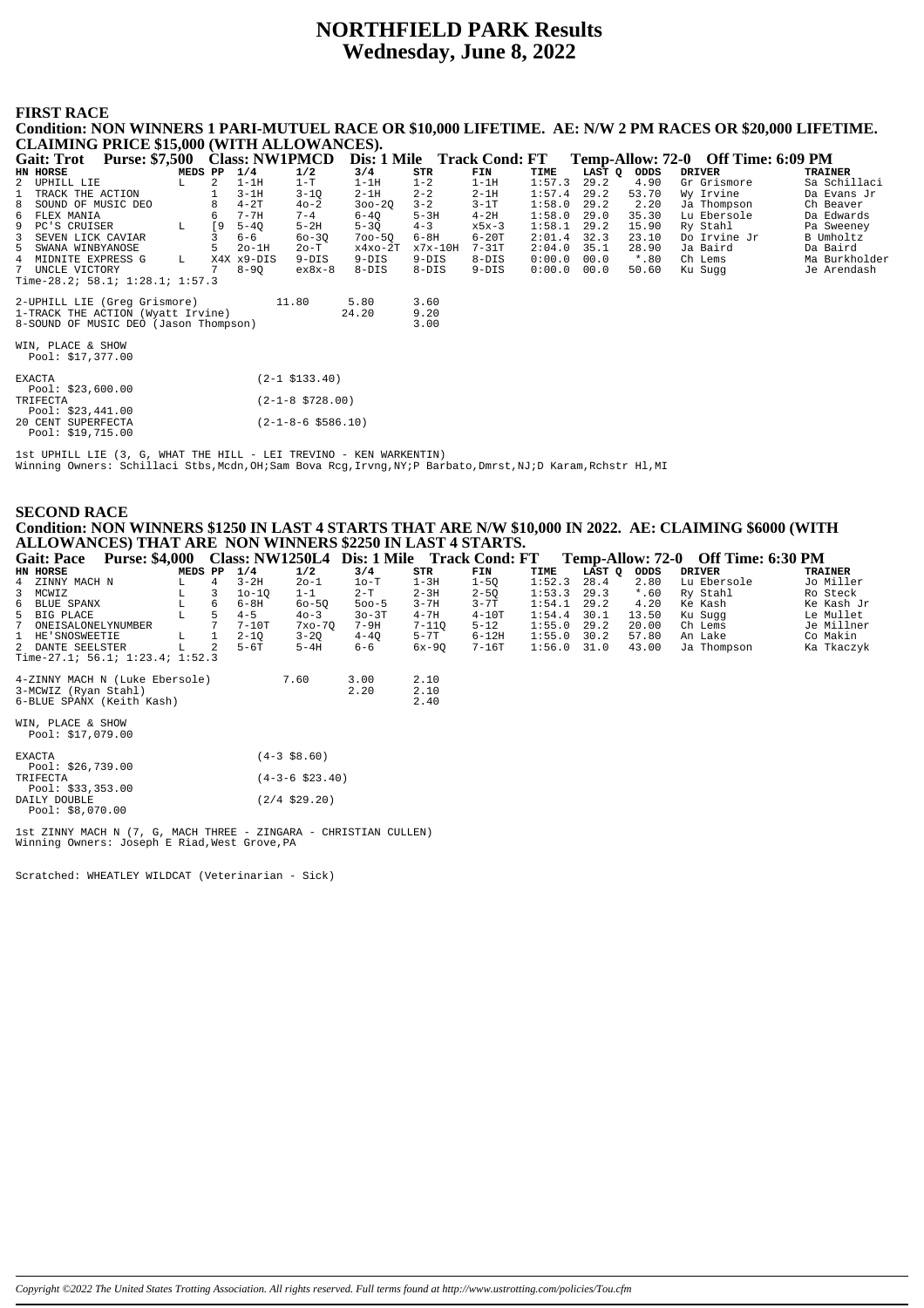# **NORTHFIELD PARK Results** Wednesday, June 8, 2022

# **FIRST RACE**

| Condition: NON WINNERS I PARI-MUTUEL RACE OR \$10,000 LIFETIME. AE: N/W 2 PM RACES OR \$20,000 LIFETIME. |                            |                            |           |           |        |        |         |                                    |                |
|----------------------------------------------------------------------------------------------------------|----------------------------|----------------------------|-----------|-----------|--------|--------|---------|------------------------------------|----------------|
| <b>CLAIMING PRICE \$15,000 (WITH ALLOWANCES).</b>                                                        |                            |                            |           |           |        |        |         |                                    |                |
| Gait: Trot Purse: \$7,500 Class: NW1PMCD                                                                 |                            | Dis: 1 Mile Track Cond: FT |           |           |        |        |         | Temp-Allow: 72-0 Off Time: 6:09 PM |                |
| HN HORSE<br>MEDS PP                                                                                      | 1/4<br>1/2                 | 3/4                        | STR       | FIN       | TIME   | LAST Q | ODDS    | <b>DRIVER</b>                      | <b>TRAINER</b> |
| $\overline{a}$<br>2 UPHILL LIE<br>L                                                                      | $1-T$<br>$1-1H$            | $1-1H$                     | $1 - 2$   | $1-1H$    | 1:57.3 | 29.2   | 4.90    | Gr Grismore                        | Sa Schillaci   |
| 1<br>TRACK THE ACTION                                                                                    | $3-1H$<br>$3 - 1Q$         | $2-1H$                     | $2 - 2$   | $2-1H$    | 1:57.4 | 29.2   | 53.70   | Wy Irvine                          | Da Evans Jr    |
| 8 SOUND OF MUSIC DEO                                                                                     | $4-2T$<br>$40 - 2$         | $300 - 20$                 | $3 - 2$   | $3-1T$    | 1:58.0 | 29.2   | 2.20    | Ja Thompson                        | Ch Beaver      |
| 6 FLEX MANIA<br>6                                                                                        | 7-7H<br>$7 - 4$            | $6 - 40$                   | $5-3H$    | $4-2H$    | 1:58.0 | 29.0   | 35.30   | Lu Ebersole                        | Da Edwards     |
| 9 PC'S CRUISER<br><b>19</b><br>L.                                                                        | $5-2H$<br>$5 - 40$         | $5 - 30$                   | $4 - 3$   | $x5x-3$   | 1:58.1 | 29.2   | 15.90   | Ry Stahl                           | Pa Sweeney     |
| 3<br>SEVEN LICK CAVIAR                                                                                   | $60 - 30$<br>$6 - 6$       | $700 - 50$                 | 6-8H      | $6-20T$   | 2:01.4 | 32.3   | 23.10   | Do Irvine Jr                       | B Umholtz      |
| 5.<br>5 SWANA WINBYANOSE                                                                                 | $2o-1H$<br>$2o-T$          | $x4x0-2T$                  | $x7x-10H$ | $7-31T$   | 2:04.0 | 35.1   | 28.90   | Ja Baird                           | Da Baird       |
| 4 MIDNITE EXPRESS G<br>L                                                                                 | X4X x9-DIS<br>$9-DIS$      | $9-DIS$                    | $9-DIS$   | $8 - DIS$ | 0:00.0 | 00.0   | $*$ .80 | Ch Lems                            | Ma Burkholder  |
| 7 UNCLE VICTORY                                                                                          | $8 - 90$<br>$ex8x-8$       | $8 - DIS$                  | $8-DIS$   | $9-DIS$   | 0:00.0 | 00.0   | 50.60   | Ku Sugg                            | Je Arendash    |
| Time-28.2; 58.1; $1:28.1$ ; $1:57.3$                                                                     |                            |                            |           |           |        |        |         |                                    |                |
| 2-UPHILL LIE (Greg Grismore)                                                                             | 11.80                      | 5.80                       | 3.60      |           |        |        |         |                                    |                |
| 1-TRACK THE ACTION (Wyatt Irvine)                                                                        |                            | 24.20                      | 9.20      |           |        |        |         |                                    |                |
| 8-SOUND OF MUSIC DEO (Jason Thompson)                                                                    |                            |                            | 3.00      |           |        |        |         |                                    |                |
| WIN, PLACE & SHOW                                                                                        |                            |                            |           |           |        |        |         |                                    |                |
| Pool: \$17,377.00                                                                                        |                            |                            |           |           |        |        |         |                                    |                |
| <b>EXACTA</b>                                                                                            | $(2-1$ \$133.40)           |                            |           |           |        |        |         |                                    |                |
| Pool: $$23,600.00$                                                                                       |                            |                            |           |           |        |        |         |                                    |                |
| TRIFECTA                                                                                                 | $(2-1-8 \text{ } $728.00)$ |                            |           |           |        |        |         |                                    |                |
| Pool: \$23,441.00                                                                                        |                            |                            |           |           |        |        |         |                                    |                |
| 20 CENT SUPERFECTA                                                                                       | $(2-1-8-6 \ $586.10)$      |                            |           |           |        |        |         |                                    |                |
| Pool: $$19,715.00$                                                                                       |                            |                            |           |           |        |        |         |                                    |                |

lst UPHILL LIE (3, G, WHAT THE HILL - LEI TREVINO - KEN WARKENTIN)<br>Winning Owners: Schillaci Stbs,Mcdn,OH;Sam Bova Rcg,Irvng,NY;P Barbato,Dmrst,NJ;D Karam,Rchstr Hl,MI

|                 | <b>SECOND RACE</b><br>Condition: NON WINNERS \$1250 IN LAST 4 STARTS THAT ARE N/W \$10,000 IN 2022. AE: CLAIMING \$6000 (WITH<br>ALLOWANCES) THAT ARE NON WINNERS \$2250 IN LAST 4 STARTS. |             |                |          |                 |              |                      |          |        |        |         |                                                                                                                |                |
|-----------------|--------------------------------------------------------------------------------------------------------------------------------------------------------------------------------------------|-------------|----------------|----------|-----------------|--------------|----------------------|----------|--------|--------|---------|----------------------------------------------------------------------------------------------------------------|----------------|
|                 | Gait: Pace Purse: \$4,000 Class: NW1250L4 Dis: 1 Mile Track Cond: FT                                                                                                                       |             |                |          |                 |              |                      |          |        |        |         | Temp-Allow: 72-0 Off Time: 6:30 PM                                                                             |                |
| <b>HN HORSE</b> |                                                                                                                                                                                            | MEDS PP     |                | 1/4      | 1/2             | 3/4          | STR                  | FIN      | TIME   | LAST Q | ODDS    | DRIVER                                                                                                         | <b>TRAINER</b> |
|                 | 4 ZINNY MACH N                                                                                                                                                                             | $L$ and $L$ | $\overline{4}$ | $3 - 2H$ | $20 - 1$        | $1$ o-T      | 1 – 3H               | $1 - 50$ | 1:52.3 | 28.4   | 2.80    | Lu Ebersole                                                                                                    | Jo Miller      |
| 3 MCWIZ         |                                                                                                                                                                                            | $L \t3$     |                | $10-10$  | $1 - 1$         | $2-T$        | 2-3H                 | $2 - 5Q$ | 1:53.3 | 29.3   | $*$ .60 | Ry Stahl                                                                                                       | Ro Steck       |
|                 | 6 BLUE SPANX                                                                                                                                                                               | L           | 6              | 6-8H     | $60 - 50$       | $500 - 5$    | $3 - 7H$             | $3 - 7T$ | 1:54.1 | 29.2   | 4.20    | Ke Kash                                                                                                        | Ke Kash Ji     |
|                 | 5 BIG PLACE                                                                                                                                                                                | L           | 5              | $4 - 5$  | $40 - 3$        | $30-3T$      | $4 - 7H$             | $4-10T$  | 1:54.4 | 30.1   | 13.50   | Ku Sugg                                                                                                        | Le Mullet      |
|                 | 7 ONEISALONELYNUMBER                                                                                                                                                                       |             |                | $7-10T$  | 7xo-70          | 7-9H         | $7 - 11Q$            | $5 - 12$ | 1:55.0 | 29.2   | 20.00   | Ch Lems                                                                                                        | Je Millner     |
|                 | 1 HE'SNOSWEETIE                                                                                                                                                                            | $L = 1$     |                | $2 - 1Q$ | $3 - 2Q$        | $4-4Q$       | $5 - 7T$             | $6-12H$  | 1:55.0 | 30.2   | 57.80   | An Lake the state of the state of the state of the state of the state of the state of the state of the state o | Co Makin       |
|                 | 2 DANTE SEELSTER                                                                                                                                                                           | L           | 2              | 5-6T     | $5-4H$          | 6-6          | 6x-90                | 7-16T    | 1:56.0 | 31.0   | 43.00   | Ja Thompson                                                                                                    | Ka Tkaczył     |
|                 | Time-27.1; 56.1; 1:23.4; 1:52.3                                                                                                                                                            |             |                |          |                 |              |                      |          |        |        |         |                                                                                                                |                |
|                 | 4-ZINNY MACH N (Luke Ebersole) 7.60<br>3-MCWIZ (Ryan Stahl)<br>6-BLUE SPANX (Keith Kash)                                                                                                   |             |                |          |                 | 3.00<br>2.20 | 2.10<br>2.10<br>2.40 |          |        |        |         |                                                                                                                |                |
|                 | WIN, PLACE & SHOW<br>Pool: \$17,079.00                                                                                                                                                     |             |                |          |                 |              |                      |          |        |        |         |                                                                                                                |                |
| <b>EXACTA</b>   |                                                                                                                                                                                            |             |                |          | $(4-3 \ $8.60)$ |              |                      |          |        |        |         |                                                                                                                |                |

| <b>FXACTA</b>      | $(4-3 \; $8.60)$              |
|--------------------|-------------------------------|
| Pool: $$26,739.00$ |                               |
| TR I FECTA         | $(4 - 3 - 6 \text{ } $23.40)$ |
| Pool: $$33.353.00$ |                               |
| DAILY DOUBLE       | $(2/4 \space $29.20)$         |
| Pool: \$8.070.00   |                               |

1st ZINNY MACH N (7, G, MACH THREE - ZINGARA - CHRISTIAN CULLEN)<br>Winning Owners: Joseph E Riad, West Grove, PA

Scratched: WHEATLEY WILDCAT (Veterinarian - Sick)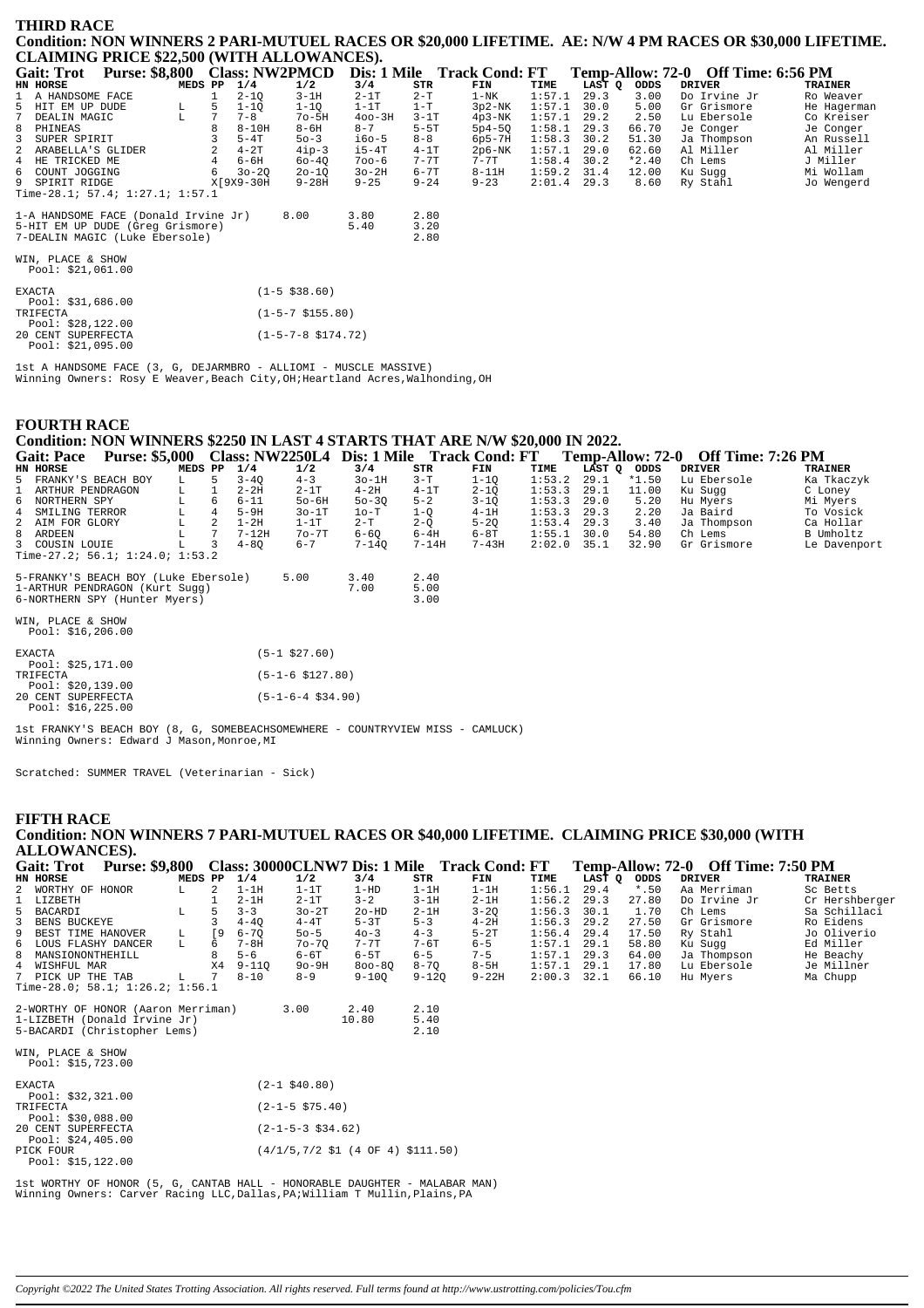#### **THIRD RACE Condition: NON WINNERS 2 PARI-MUTUEL RACES OR \$20,000 LIFETIME. AE: N/W 4 PM RACES OR \$30,000 LIFETIME. CLAIMING PRICE \$22,500 (WITH ALLOWANCES).**

| Gait: Trot Purse: \$8,800 Class: NW2PMCD |             |   |           |                              |            |          | Dis: 1 Mile Track Cond: FT |        |        |         | Temp-Allow: 72-0 Off Time: 6:56 PM |                |
|------------------------------------------|-------------|---|-----------|------------------------------|------------|----------|----------------------------|--------|--------|---------|------------------------------------|----------------|
| HN HORSE                                 | MEDS PP     |   | 1/4       | 1/2                          | 3/4        | STR      | FIN                        | TIME   | LAST Q | ODDS    | <b>DRIVER</b>                      | <b>TRAINER</b> |
| 1 A HANDSOME FACE                        |             |   | $2 - 10$  | $3 - 1H$                     | $2-1T$     | $2-T$    | $1 - NK$                   | 1:57.1 | 29.3   | 3.00    | Do Irvine Jr                       | Ro Weaver      |
| 5 HIT EM UP DUDE                         | L           | 5 | $1 - 10$  | $1 - 1Q$                     | $1-1T$     | $1-T$    | $3p2-NK$                   | 1:57.1 | 30.0   | 5.00    | Gr Grismore                        | He Hagerman    |
| DEALIN MAGIC<br>$7^{\circ}$              | $\mathbb L$ |   | $7 - 8$   | $7o-5H$                      | $400 - 3H$ | $3-1T$   | $4p3-NK$                   | 1:57.1 | 29.2   | 2.50    | Lu Ebersole                        | Co Kreiser     |
| 8 PHINEAS                                |             |   | $8-10H$   | $8-6H$                       | $8 - 7$    | $5-5T$   | $5p4-5Q$                   | 1:58.1 | 29.3   | 66.70   | Je Conger                          | Je Conger      |
| 3 SUPER SPIRIT                           |             |   | $5-4T$    | $50 - 3$                     | $i60-5$    | $8 - 8$  | $6p5-7H$                   | 1:58.3 | 30.2   | 51.30   | Ja Thompson                        | An Russell     |
| 2 ARABELLA'S GLIDER                      |             |   | $4 - 2T$  | $4$ ip-3                     | $i5-4T$    | $4-1T$   | $2p6-NK$                   | 1:57.1 | 29.0   | 62.60   | Al Miller                          | Al Miller      |
| 4 HE TRICKED ME                          |             |   | $6 - 6H$  | $60 - 40$                    | $700 - 6$  | $7 - 7T$ | $7 - 7$ T                  | 1:58.4 | 30.2   | $*2.40$ | Ch Lems                            | J Miller       |
| 6 COUNT JOGGING                          |             | 6 | $30 - 20$ | $20 - 1Q$                    | $3o-2H$    | $6 - 7T$ | $8-11H$                    | 1:59.2 | 31.4   | 12.00   | Ku Sugg                            | Mi Wollam      |
| 9 SPIRIT RIDGE                           |             |   | X[9X9-30H | $9 - 28H$                    | $9 - 25$   | $9 - 24$ | $9 - 23$                   | 2:01.4 | 29.3   | 8.60    | Ry Stahl                           | Jo Wengerd     |
| Time-28.1; 57.4; 1:27.1; 1:57.1          |             |   |           |                              |            |          |                            |        |        |         |                                    |                |
| 1-A HANDSOME FACE (Donald Irvine Jr)     |             |   |           | 8.00                         | 3.80       | 2.80     |                            |        |        |         |                                    |                |
| 5-HIT EM UP DUDE (Greq Grismore)         |             |   |           |                              | 5.40       | 3.20     |                            |        |        |         |                                    |                |
| 7-DEALIN MAGIC (Luke Ebersole)           |             |   |           |                              |            | 2.80     |                            |        |        |         |                                    |                |
|                                          |             |   |           |                              |            |          |                            |        |        |         |                                    |                |
| WIN, PLACE & SHOW                        |             |   |           |                              |            |          |                            |        |        |         |                                    |                |
| Pool: \$21,061.00                        |             |   |           |                              |            |          |                            |        |        |         |                                    |                |
| <b>EXACTA</b>                            |             |   |           | $(1 - 5 \; $38.60)$          |            |          |                            |        |        |         |                                    |                |
| Pool: \$31,686.00                        |             |   |           |                              |            |          |                            |        |        |         |                                    |                |
| TRIFECTA                                 |             |   |           | $(1-5-7 \; $155.80)$         |            |          |                            |        |        |         |                                    |                |
| Pool: $$28,122.00$                       |             |   |           |                              |            |          |                            |        |        |         |                                    |                |
| 20 CENT SUPERFECTA                       |             |   |           | $(1-5-7-8 \text{ } $174.72)$ |            |          |                            |        |        |         |                                    |                |
| Pool: \$21,095.00                        |             |   |           |                              |            |          |                            |        |        |         |                                    |                |

1st A HANDSOME FACE (3, G, DEJARMBRO - ALLIOMI - MUSCLE MASSIVE) Winning Owners: Rosy E Weaver,Beach City,OH;Heartland Acres,Walhonding,OH

#### **FOURTH RACE**

# **Condition: NON WINNERS \$2250 IN LAST 4 STARTS THAT ARE N/W \$20,000 IN 2022.**

| <b>Gait: Pace</b>    | <b>Purse: \$5,000</b>           |         |   |           |         | Class: NW2250L4 Dis: 1 Mile |           | <b>Track Cond: FT</b> |        | Temp-Allow: 72-0 |         | <b>Off Time: 7:26 PM</b> |                |
|----------------------|---------------------------------|---------|---|-----------|---------|-----------------------------|-----------|-----------------------|--------|------------------|---------|--------------------------|----------------|
| HN HORSE             |                                 | MEDS PP |   | 1/4       | 1/2     | 3/4                         | STR       | FIN                   | TIME   | LAST O           | ODDS    | DRIVER                   | <b>TRAINER</b> |
| 5 FRANKY'S BEACH BOY |                                 |         |   | $3 - 40$  | $4 - 3$ | $3o-1H$                     | $3-T$     | $1 - 10$              | 1:53.2 | 29.1             | $*1.50$ | Lu Ebersole              | Ka Tkaczyk     |
| 1 ARTHUR PENDRAGON   |                                 | L.      |   | $2 - 2H$  | $2-1T$  | $4-2H$                      | $4-1T$    | $2 - 10$              | 1:53.3 | 29.1             | 11.00   | Ku Suqq                  | C Loney        |
| 6 NORTHERN SPY       |                                 |         | 6 | $6 - 11$  | $50-6H$ | $50 - 30$                   | $5 - 2$   | $3 - 10$              | 1:53.3 | 29.0             | 5.20    | Hu Myers                 | Mi Myers       |
| 4 SMILING TERROR     |                                 |         |   | $5-9H$    | $30-1T$ | $10-T$                      | 1-0       | $4-1H$                | 1:53.3 | 29.3             | 2.20    | Ja Baird                 | To Vosick      |
| 2 AIM FOR GLORY      |                                 |         |   | $1-2H$    | $1-1T$  | $2-T$                       | $2 - 0$   | $5 - 20$              | 1:53.4 | 29.3             | 3.40    | Ja Thompson              | Ca Hollar      |
| 8 ARDEEN             |                                 |         |   | $7 - 12H$ | $70-7T$ | $6 - 60$                    | $6-4H$    | $6-8T$                | 1:55.1 | 30.0             | 54.80   | Ch Lems                  | B Umholtz      |
| 3 COUSIN LOUIE       |                                 |         |   | $4 - 80$  | $6 - 7$ | $7 - 140$                   | $7 - 14H$ | $7 - 43H$             | 2:02.0 | 35.1             | 32.90   | Gr Grismore              | Le Davenport   |
|                      | Time-27.2; 56.1; 1:24.0; 1:53.2 |         |   |           |         |                             |           |                       |        |                  |         |                          |                |

| 5-FRANKY'S BEACH BOY (Luke Ebersole)<br>1-ARTHUR PENDRAGON (Kurt Sugg)<br>6-NORTHERN SPY (Hunter Myers) | 5.00 | 3.40<br>7.00 | 2.40<br>5.00<br>3.00 |
|---------------------------------------------------------------------------------------------------------|------|--------------|----------------------|
| WIN, PLACE & SHOW<br>Pool: \$16,206.00                                                                  |      |              |                      |

| <b>EXACTA</b>       | $(5-1$ \$27.60)                   |
|---------------------|-----------------------------------|
| Pool: $$25.171.00$  |                                   |
| TRIFECTA            | $(5 - 1 - 6 \text{ } $127.80)$    |
| Pool: \$20,139.00   |                                   |
| 20 CENT SUPERFECTA  | $(5 - 1 - 6 - 4 \text{ } $34.90)$ |
| Pool: $$16, 225.00$ |                                   |

1st FRANKY'S BEACH BOY (8, G, SOMEBEACHSOMEWHERE - COUNTRYVIEW MISS - CAMLUCK) Winning Owners: Edward J Mason,Monroe,MI

Scratched: SUMMER TRAVEL (Veterinarian - Sick)

#### **FIFTH RACE**

| Condition: NON WINNERS 7 PARI-MUTUEL RACES OR \$40,000 LIFETIME. CLAIMING PRICE \$30,000 (WITH |         |           |           |                            |            |                                                                                 |                                              |        |        |         |                                    |                |
|------------------------------------------------------------------------------------------------|---------|-----------|-----------|----------------------------|------------|---------------------------------------------------------------------------------|----------------------------------------------|--------|--------|---------|------------------------------------|----------------|
| <b>ALLOWANCES).</b>                                                                            |         |           |           |                            |            |                                                                                 |                                              |        |        |         |                                    |                |
| <b>Purse: \$9,800</b><br><b>Gait: Trot</b>                                                     |         |           |           |                            |            |                                                                                 | Class: 30000CLNW7 Dis: 1 Mile Track Cond: FT |        |        |         | Temp-Allow: 72-0 Off Time: 7:50 PM |                |
| HN HORSE                                                                                       | MEDS PP |           | 1/4       | 1/2                        | 3/4        | STR                                                                             | FIN                                          | TIME   | LAST Q | ODDS    | <b>DRIVER</b>                      | <b>TRAINER</b> |
| 2 WORTHY OF HONOR                                                                              | L.      | 2         | $1-1H$    | $1-1T$                     | $1-HD$     | $1 - 1H$                                                                        | $1-1H$                                       | 1:56.1 | 29.4   | $*$ .50 | Aa Merriman                        | Sc Betts       |
| LIZBETH                                                                                        |         |           | $2 - 1H$  | $2-1T$                     | $3 - 2$    | $3 - 1H$                                                                        | $2 - 1H$                                     | 1:56.2 | 29.3   | 27.80   | Do Irvine Jr                       | Cr Hershberger |
| 5<br><b>BACARDI</b>                                                                            | L.      |           | $3 - 3$   | $30-2T$                    | $2o-HD$    | $2 - 1H$                                                                        | $3 - 2Q$                                     | 1:56.3 | 30.1   | 1.70    | Ch Lems                            | Sa Schillaci   |
| $\overline{\mathbf{3}}$<br>BENS BUCKEYE                                                        |         |           | $4 - 40$  | $4 - 4T$                   | $5-3T$     | $5 - 3$                                                                         | $4 - 2H$                                     | 1:56.3 | 29.2   | 27.50   | Gr Grismore                        | Ro Eidens      |
| 9<br>BEST TIME HANOVER                                                                         | L       | <b>19</b> | $6 - 70$  | $50 - 5$                   | $40 - 3$   | $4 - 3$                                                                         | $5-2T$                                       | 1:56.4 | 29.4   | 17.50   | Ry Stahl                           | Jo Oliverio    |
| 6 LOUS FLASHY DANCER                                                                           | L       | 6         | $7 - 8H$  | $70 - 70$                  | $7 - 7$ T  | $7 - 6T$                                                                        | $6 - 5$                                      | 1:57.1 | 29.1   | 58.80   | Ku Suqq                            | Ed Miller      |
| 8<br>MANSIONONTHEHILL                                                                          |         |           | $5 - 6$   | $6-6T$                     | $6-5T$     | $6 - 5$                                                                         | $7 - 5$                                      | 1:57.1 | 29.3   | 64.00   | Ja Thompson                        | He Beachy      |
| $4\overline{ }$<br>WISHFUL MAR                                                                 |         | X4        | $9 - 110$ | $90-9H$                    | $800 - 80$ | $8 - 70$                                                                        | $8-5H$                                       | 1:57.1 | 29.1   | 17.80   | Lu Ebersole                        | Je Millner     |
| 7 PICK UP THE TAB                                                                              | L       |           | $8 - 10$  | $8 - 9$                    | $9 - 100$  | $9 - 120$                                                                       | $9 - 22H$                                    | 2:00.3 | 32.1   | 66.10   | Hu Myers                           | Ma Chupp       |
| Time-28.0; 58.1; $1:26.2;$ $1:56.1$                                                            |         |           |           |                            |            |                                                                                 |                                              |        |        |         |                                    |                |
| 2-WORTHY OF HONOR (Aaron Merriman)                                                             |         |           |           | 3.00                       | 2.40       | 2.10                                                                            |                                              |        |        |         |                                    |                |
| 1-LIZBETH (Donald Irvine Jr)                                                                   |         |           |           |                            | 10.80      | 5.40                                                                            |                                              |        |        |         |                                    |                |
| 5-BACARDI (Christopher Lems)                                                                   |         |           |           |                            |            | 2.10                                                                            |                                              |        |        |         |                                    |                |
| WIN, PLACE & SHOW                                                                              |         |           |           |                            |            |                                                                                 |                                              |        |        |         |                                    |                |
| Pool: \$15,723.00                                                                              |         |           |           |                            |            |                                                                                 |                                              |        |        |         |                                    |                |
|                                                                                                |         |           |           |                            |            |                                                                                 |                                              |        |        |         |                                    |                |
| <b>EXACTA</b><br>Pool: \$32,321.00                                                             |         |           |           | $(2-1$ \$40.80)            |            |                                                                                 |                                              |        |        |         |                                    |                |
| TRIFECTA                                                                                       |         |           |           | $(2 - 1 - 5 \cdot $75.40)$ |            |                                                                                 |                                              |        |        |         |                                    |                |
| Pool: $$30,088.00$                                                                             |         |           |           |                            |            |                                                                                 |                                              |        |        |         |                                    |                |
| 20 CENT SUPERFECTA                                                                             |         |           |           | $(2-1-5-3$ \$34.62)        |            |                                                                                 |                                              |        |        |         |                                    |                |
| Pool: $$24,405.00$                                                                             |         |           |           |                            |            |                                                                                 |                                              |        |        |         |                                    |                |
| PICK FOUR                                                                                      |         |           |           |                            |            | $(4/1/5, 7/2 \text{ } 51 \text{ } (4 \text{ } 0F \text{ } 4) \text{ } $111.50)$ |                                              |        |        |         |                                    |                |
| Pool: \$15,122.00                                                                              |         |           |           |                            |            |                                                                                 |                                              |        |        |         |                                    |                |

1st WORTHY OF HONOR (5, G, CANTAB HALL - HONORABLE DAUGHTER - MALABAR MAN) Winning Owners: Carver Racing LLC,Dallas,PA;William T Mullin,Plains,PA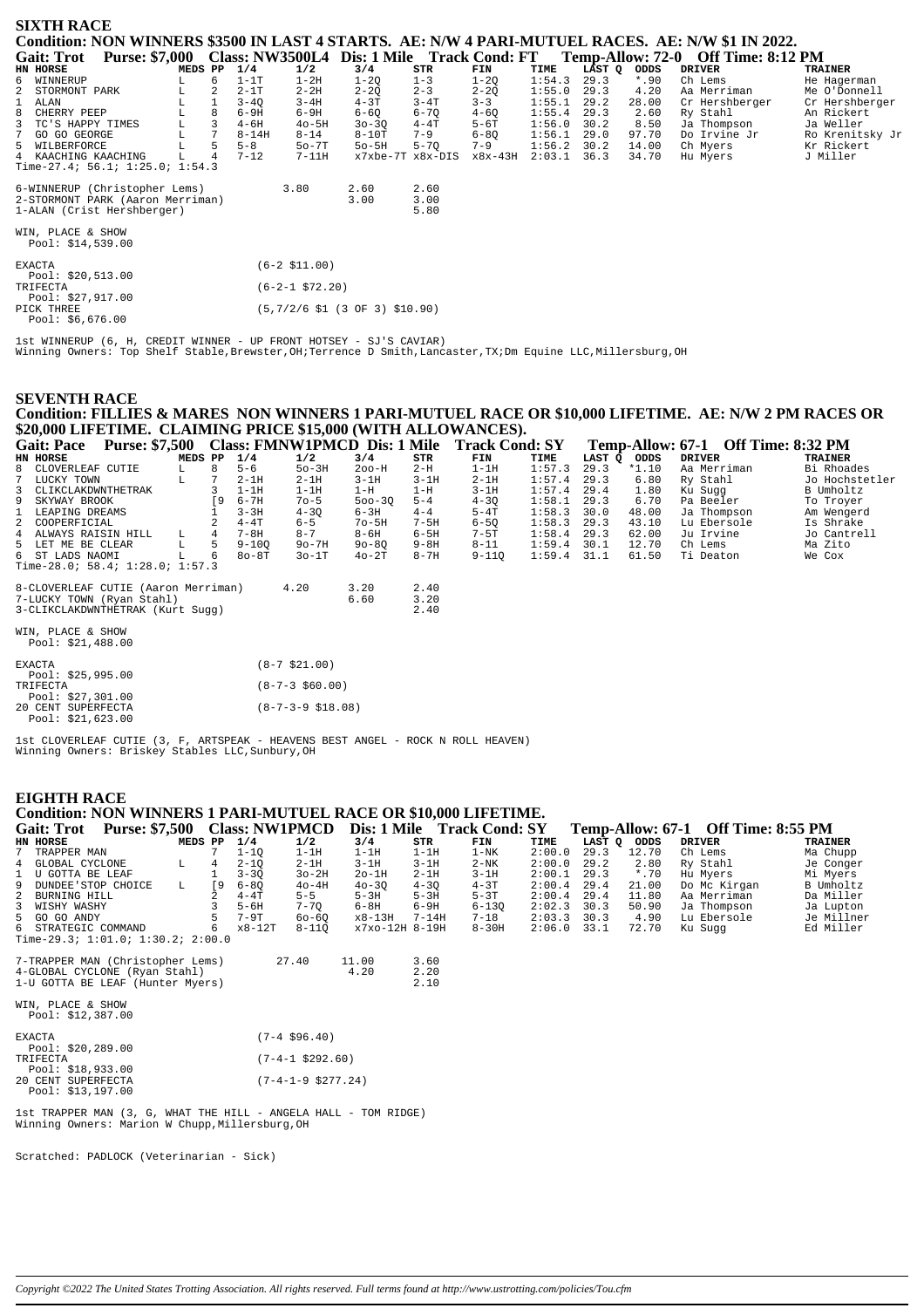| <b>SIXTH RACE</b>                      |         |   |           |                   |                                                           |          |           |        |        |         |                                                                                                   |                 |
|----------------------------------------|---------|---|-----------|-------------------|-----------------------------------------------------------|----------|-----------|--------|--------|---------|---------------------------------------------------------------------------------------------------|-----------------|
|                                        |         |   |           |                   |                                                           |          |           |        |        |         | Condition: NON WINNERS \$3500 IN LAST 4 STARTS. AE: N/W 4 PARI-MUTUEL RACES. AE: N/W \$1 IN 2022. |                 |
| <b>Gait: Trot</b>                      |         |   |           |                   | Purse: \$7,000 Class: NW3500L4 Dis: 1 Mile Track Cond: FT |          |           |        |        |         | Temp-Allow: 72-0 Off Time: 8:12 PM                                                                |                 |
| HN HORSE                               | MEDS PP |   | 1/4       | 1/2               | 3/4                                                       | STR      | FIN       | TIME   | LĀST Q | ODDS    | <b>DRIVER</b>                                                                                     | <b>TRAINER</b>  |
| 6 WINNERUP                             | L       | 6 | $1-1T$    | $1-2H$            | $1 - 20$                                                  | $1 - 3$  | $1 - 20$  | 1:54.3 | 29.3   | $*$ .90 | Ch Lems                                                                                           | He Hagerman     |
| 2 STORMONT PARK                        | L       |   | $2 - 1T$  | $2 - 2H$          | $2 - 2Q$                                                  | $2 - 3$  | $2 - 20$  | 1:55.0 | 29.3   | 4.20    | Aa Merriman                                                                                       | Me O'Donnell    |
| $\mathbf{1}$<br>ALAN                   | L       |   | $3 - 40$  | $3 - 4H$          | $4 - 3T$                                                  | $3 - 4T$ | $3 - 3$   | 1:55.1 | 29.2   | 28.00   | Cr Hershberger                                                                                    | Cr Hershberger  |
| 8<br>CHERRY PEEP                       | L       | 8 | $6-9H$    | $6-9H$            | $6 - 60$                                                  | $6 - 70$ | $4 - 60$  | 1:55.4 | 29.3   | 2.60    | Ry Stahl                                                                                          | An Rickert      |
| TC'S HAPPY TIMES                       | L       | 3 | $4 - 6H$  | $40 - 5H$         | $30 - 30$                                                 | $4 - 4T$ | $5-6T$    | 1:56.0 | 30.2   | 8.50    | Ja Thompson                                                                                       | Ja Weller       |
| $7^{\circ}$<br>GO GO GEORGE            | г       |   | $8 - 14H$ | $8 - 14$          | $8-10T$                                                   | $7 - 9$  | $6 - 8Q$  | 1:56.1 | 29.0   | 97.70   | Do Irvine Jr                                                                                      | Ro Krenitsky Jr |
| WILBERFORCE<br>5                       |         |   | $5 - 8$   | $50-7T$           | $50 - 5H$                                                 | $5 - 70$ | $7 - 9$   | 1:56.2 | 30.2   | 14.00   | Ch Myers                                                                                          | Kr Rickert      |
| 4 KAACHING KAACHING                    |         |   | $7 - 12$  | $7-11H$           | x7xbe-7T x8x-DIS                                          |          | $x8x-43H$ | 2:03.1 | 36.3   | 34.70   | Hu Myers                                                                                          | J Miller        |
| Time-27.4; 56.1; 1:25.0; 1:54.3        |         |   |           |                   |                                                           |          |           |        |        |         |                                                                                                   |                 |
| 6-WINNERUP (Christopher Lems)          |         |   |           | 3.80              | 2.60                                                      | 2.60     |           |        |        |         |                                                                                                   |                 |
| 2-STORMONT PARK (Aaron Merriman)       |         |   |           |                   | 3.00                                                      | 3.00     |           |        |        |         |                                                                                                   |                 |
| 1-ALAN (Crist Hershberger)             |         |   |           |                   |                                                           | 5.80     |           |        |        |         |                                                                                                   |                 |
|                                        |         |   |           |                   |                                                           |          |           |        |        |         |                                                                                                   |                 |
| WIN, PLACE & SHOW<br>Pool: \$14,539.00 |         |   |           |                   |                                                           |          |           |        |        |         |                                                                                                   |                 |
|                                        |         |   |           |                   |                                                           |          |           |        |        |         |                                                                                                   |                 |
| <b>EXACTA</b>                          |         |   |           | $(6-2 \; $11.00)$ |                                                           |          |           |        |        |         |                                                                                                   |                 |
| Pool: \$20,513.00                      |         |   |           |                   |                                                           |          |           |        |        |         |                                                                                                   |                 |
| TRIFECTA                               |         |   |           | $(6-2-1$ \$72.20) |                                                           |          |           |        |        |         |                                                                                                   |                 |
| Pool: \$27,917.00                      |         |   |           |                   |                                                           |          |           |        |        |         |                                                                                                   |                 |
| PICK THREE                             |         |   |           |                   | $(5,7/2/6$ \$1 (3 OF 3) \$10.90)                          |          |           |        |        |         |                                                                                                   |                 |
| Pool: \$6,676.00                       |         |   |           |                   |                                                           |          |           |        |        |         |                                                                                                   |                 |
|                                        |         |   |           |                   |                                                           |          |           |        |        |         |                                                                                                   |                 |

1st WINNERUP (6, H, CREDIT WINNER - UP FRONT HOTSEY - SJ'S CAVIAR) Winning Owners: Top Shelf Stable,Brewster,OH;Terrence D Smith,Lancaster,TX;Dm Equine LLC,Millersburg,OH

## **SEVENTH RACE Condition: FILLIES & MARES NON WINNERS 1 PARI-MUTUEL RACE OR \$10,000 LIFETIME. AE: N/W 2 PM RACES OR \$20,000 LIFETIME. CLAIMING PRICE \$15,000 (WITH ALLOWANCES).**

| <b>Gait: Pace</b>                   | <b>Purse: \$7,500</b> |         |     |           |          | Class: FMNW1PMCD Dis: 1 Mile |          | <b>Track Cond: SY</b> |        |        | Temp-Allow: 67-1 | <b>Off Time: 8:32 PM</b> |                |
|-------------------------------------|-----------------------|---------|-----|-----------|----------|------------------------------|----------|-----------------------|--------|--------|------------------|--------------------------|----------------|
| HN HORSE                            |                       | MEDS PP |     | 1/4       | 1/2      | 3/4                          | STR      | FIN                   | TIME   | LAST O | ODDS             | <b>DRIVER</b>            | TRAINER        |
| 8 CLOVERLEAF CUTIE                  |                       | L       | 8   | $5 - 6$   | $50-3H$  | $200-H$                      | $2-H$    | $1-1H$                | 1:57.3 | 29.3   | $*1.10$          | Aa Merriman              | Bi Rhoades     |
| 7 LUCKY TOWN                        |                       | L       |     | $2-1H$    | $2-1H$   | $3-1H$                       | $3-1H$   | $2-1H$                | 1:57.4 | 29.3   | 6.80             | Ry Stahl                 | Jo Hochstetler |
| 3 CLIKCLAKDWNTHETRAK                |                       |         |     | $1-1H$    | $1-1H$   | $1-H$                        | $1-H$    | $3-1H$                | 1:57.4 | 29.4   | 1.80             | Ku Suqq                  | B Umholtz      |
| 9 SKYWAY BROOK                      |                       |         | ſ9. | $6 - 7H$  | $70 - 5$ | $500 - 30$                   | $5 - 4$  | $4 - 30$              | 1:58.1 | 29.3   | 6.70             | Pa Beeler                | To Troyer      |
| 1 LEAPING DREAMS                    |                       |         |     | $3 - 3H$  | $4 - 30$ | $6 - 3H$                     | $4 - 4$  | $5-4T$                | 1:58.3 | 30.0   | 48.00            | Ja Thompson              | Am Wengerd     |
| 2 COOPERFICIAL                      |                       |         |     | $4-4T$    | $6 - 5$  | $7o-5H$                      | $7-5H$   | $6 - 50$              | 1:58.3 | 29.3   | 43.10            | Lu Ebersole              | Is Shrake      |
| 4 ALWAYS RAISIN HILL                |                       | L.      | 4   | $7 - 8H$  | $8 - 7$  | $8 - 6H$                     | $6-5H$   | $7-5T$                | 1:58.4 | 29.3   | 62.00            | Ju Irvine                | Jo Cantrell    |
| 5 LET ME BE CLEAR                   |                       |         | 5.  | $9 - 100$ | $9o-7H$  | $90 - 80$                    | $9 - 8H$ | $8 - 11$              | 1:59.4 | 30.1   | 12.70            | Ch Lems                  | Ma Zito        |
| 6 ST LADS NAOMI                     |                       |         | 6   | $80 - 8T$ | $30-1T$  | $40-2T$                      | $8 - 7H$ | $9 - 110$             | 1:59.4 | 31.1   | 61.50            | Ti Deaton                | We Cox         |
| Time-28.0; 58.4; 1:28.0; 1:57.3     |                       |         |     |           |          |                              |          |                       |        |        |                  |                          |                |
| 8-CLOVERLEAF CUTIE (Aaron Merriman) |                       |         |     |           | 4.20     | 3.20                         | 2.40     |                       |        |        |                  |                          |                |
| 7-LUCKY TOWN (Ryan Stahl)           |                       |         |     |           |          | 6.60                         | 3.20     |                       |        |        |                  |                          |                |
| 3-CLIKCLAKDWNTHETRAK (Kurt Sugg)    |                       |         |     |           |          |                              | 2.40     |                       |        |        |                  |                          |                |
| MINI DIACE CHIOM                    |                       |         |     |           |          |                              |          |                       |        |        |                  |                          |                |

| WIN, PLACE & SHOW  |  |  |  |  |
|--------------------|--|--|--|--|
| Pool: $$21,488.00$ |  |  |  |  |
|                    |  |  |  |  |
|                    |  |  |  |  |

| <b>EXACTA</b>      | $(8-7 \; \text{S}21.00)$     |
|--------------------|------------------------------|
| Pool: $$25,995.00$ |                              |
| TRIFECTA           | $(8-7-3 \ $60.00)$           |
| Pool: $$27,301.00$ |                              |
| 20 CENT SUPERFECTA | $(8-7-3-9 \; \text{S}18.08)$ |
| Pool: $$21.623.00$ |                              |

1st CLOVERLEAF CUTIE (3, F, ARTSPEAK - HEAVENS BEST ANGEL - ROCK N ROLL HEAVEN) Winning Owners: Briskey Stables LLC,Sunbury,OH

### **EIGHTH RACE**

### **Condition: NON WINNERS 1 PARI-MUTUEL RACE OR \$10,000 LIFETIME.**

| <b>Purse: \$7,500</b><br><b>Gait: Trot</b>                      |                                                 |            | <b>Class: NW1PMCD</b> |                       |                |           | Dis: 1 Mile Track Cond: SY |        |             |         |  | Temp-Allow: 67-1 Off Time: 8:55 PM |                |
|-----------------------------------------------------------------|-------------------------------------------------|------------|-----------------------|-----------------------|----------------|-----------|----------------------------|--------|-------------|---------|--|------------------------------------|----------------|
| HN HORSE                                                        | MEDS PP                                         |            | 1/4                   | 1/2                   | 3/4            | STR       | FIN                        | TIME   | LAST Q ODDS |         |  | <b>DRIVER</b>                      | <b>TRAINER</b> |
| 7 TRAPPER MAN                                                   |                                                 |            | $1 - 10$              | $1-1H$                | $1-1H$         | $1-1H$    | $1-NK$                     | 2:00.0 | 29.3        | 12.70   |  | Ch Lems                            | Ma Chupp       |
| 4<br>GLOBAL CYCLONE                                             | L                                               | 4          | $2 - 10$              | $2 - 1H$              | $3-1H$         | $3-1H$    | $2-NK$                     | 2:00.0 | 29.2        | 2.80    |  | Ry Stahl                           | Je Conger      |
| U GOTTA BE LEAF                                                 |                                                 |            | $3 - 30$              | $3o-2H$               | $2o-1H$        | $2-1H$    | $3-1H$                     | 2:00.1 | 29.3        | $*$ .70 |  | Hu Myers                           | Mi Myers       |
| DUNDEE'STOP CHOICE<br>9                                         | L                                               | $\sqrt{9}$ | $6 - 80$              | $40-4H$               | $40 - 30$      | $4 - 30$  | $4 - 3T$                   | 2:00.4 | 29.4        | 21.00   |  | Do Mc Kirgan                       | B Umholtz      |
| 2<br>BURNING HILL                                               |                                                 |            | $4 - 4T$              | $5 - 5$               | $5-3H$         | $5-3H$    | $5-3T$                     | 2:00.4 | 29.4        | 11.80   |  | Aa Merriman                        | Da Miller      |
| 3<br>WISHY WASHY                                                |                                                 |            | $5 - 6H$              | $7 - 70$              | $6-8H$         | $6-9H$    | $6 - 130$                  | 2:02.3 | 30.3        | 50.90   |  | Ja Thompson                        | Ja Lupton      |
| 5<br>GO GO ANDY                                                 |                                                 |            | $7-9T$                | $60 - 60$             | $x8-13H$       | $7 - 14H$ | $7 - 18$                   | 2:03.3 | 30.3        | 4.90    |  | Lu Ebersole                        | Je Millner     |
| 6 STRATEGIC COMMAND                                             |                                                 | 6          | x8-12T                | $8 - 110$             | x7xo-12H 8-19H |           | $8-30H$                    | 2:06.0 | 33.1        | 72.70   |  | Ku Sugg                            | Ed Miller      |
| Time-29.3; $1:01.0; 1:30.2; 2:00.0$                             |                                                 |            |                       |                       |                |           |                            |        |             |         |  |                                    |                |
| 7-TRAPPER MAN (Christopher Lems)                                |                                                 |            |                       | 27.40                 | 11.00          | 3.60      |                            |        |             |         |  |                                    |                |
| 4-GLOBAL CYCLONE (Ryan Stahl)                                   |                                                 |            |                       |                       | 4.20           | 2.20      |                            |        |             |         |  |                                    |                |
| 1-U GOTTA BE LEAF (Hunter Myers)                                |                                                 |            |                       |                       |                | 2.10      |                            |        |             |         |  |                                    |                |
|                                                                 |                                                 |            |                       |                       |                |           |                            |        |             |         |  |                                    |                |
| WIN, PLACE & SHOW                                               |                                                 |            |                       |                       |                |           |                            |        |             |         |  |                                    |                |
| Pool: \$12,387.00                                               |                                                 |            |                       |                       |                |           |                            |        |             |         |  |                                    |                |
|                                                                 |                                                 |            |                       |                       |                |           |                            |        |             |         |  |                                    |                |
| <b>EXACTA</b>                                                   |                                                 |            |                       | $(7-4 \ $96.40)$      |                |           |                            |        |             |         |  |                                    |                |
| Pool: $$20,289.00$                                              |                                                 |            |                       |                       |                |           |                            |        |             |         |  |                                    |                |
| TRIFECTA                                                        |                                                 |            |                       | $(7-4-1$ \$292.60)    |                |           |                            |        |             |         |  |                                    |                |
| Pool: $$18,933.00$                                              |                                                 |            |                       |                       |                |           |                            |        |             |         |  |                                    |                |
| 20 CENT SUPERFECTA                                              |                                                 |            |                       | $(7-4-1-9 \ $277.24)$ |                |           |                            |        |             |         |  |                                    |                |
| Pool: $$13,197.00$                                              |                                                 |            |                       |                       |                |           |                            |        |             |         |  |                                    |                |
| 1st TRAPPER MAN (3, G, WHAT THE HILL - ANGELA HALL - TOM RIDGE) |                                                 |            |                       |                       |                |           |                            |        |             |         |  |                                    |                |
|                                                                 |                                                 |            |                       |                       |                |           |                            |        |             |         |  |                                    |                |
|                                                                 | Winning Owners: Marion W Chupp, Millersburg, OH |            |                       |                       |                |           |                            |        |             |         |  |                                    |                |
|                                                                 |                                                 |            |                       |                       |                |           |                            |        |             |         |  |                                    |                |

Scratched: PADLOCK (Veterinarian - Sick)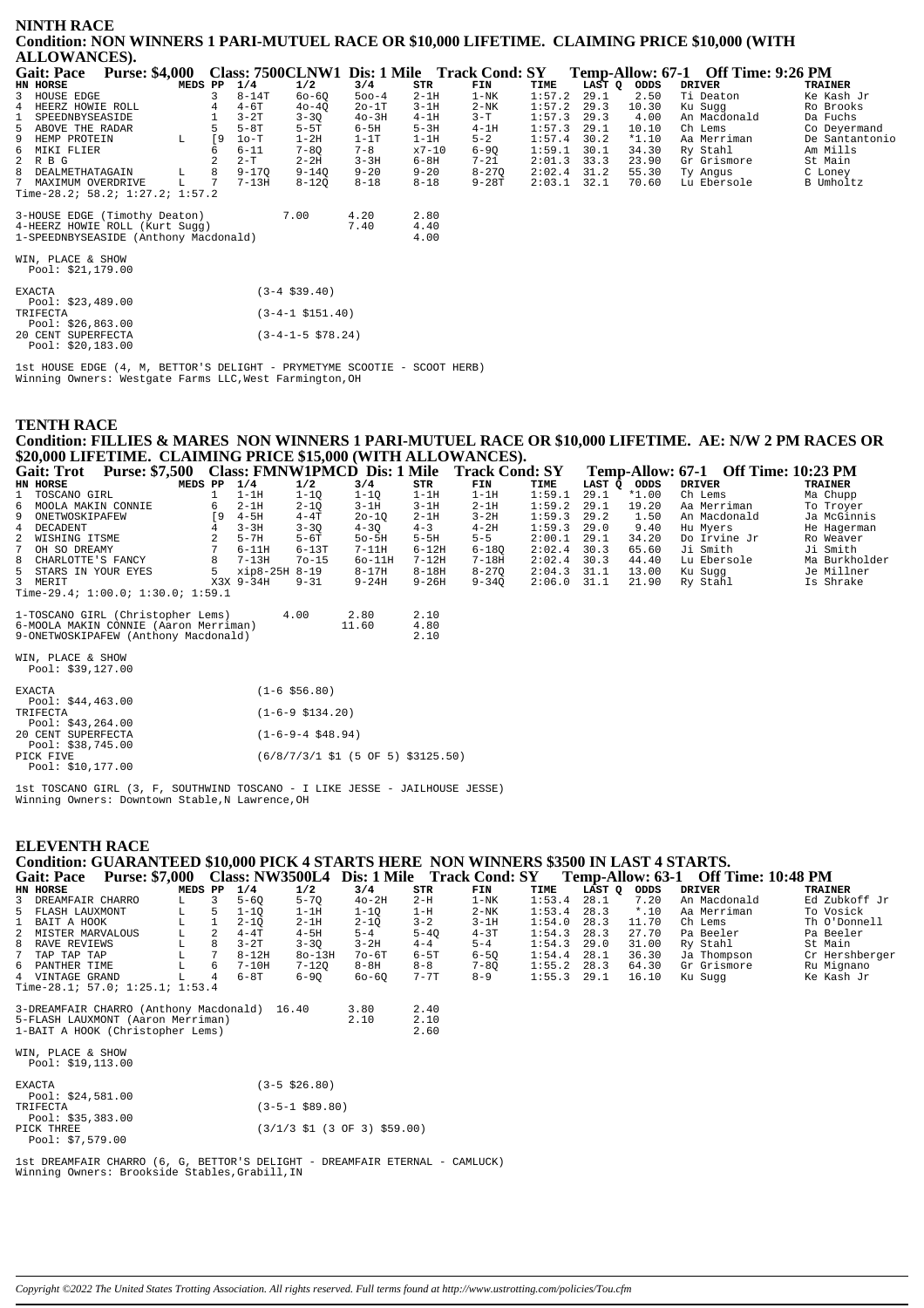| <b>NINTH RACE</b>                                                                             |         |           |          |                       |           |                                             |           |               |        |         |                                    |                |
|-----------------------------------------------------------------------------------------------|---------|-----------|----------|-----------------------|-----------|---------------------------------------------|-----------|---------------|--------|---------|------------------------------------|----------------|
| Condition: NON WINNERS 1 PARI-MUTUEL RACE OR \$10,000 LIFETIME. CLAIMING PRICE \$10,000 (WITH |         |           |          |                       |           |                                             |           |               |        |         |                                    |                |
| <b>ALLOWANCES).</b>                                                                           |         |           |          |                       |           |                                             |           |               |        |         |                                    |                |
| <b>Gait: Pace</b><br><b>Purse: \$4,000</b>                                                    |         |           |          |                       |           | Class: 7500CLNW1 Dis: 1 Mile Track Cond: SY |           |               |        |         | Temp-Allow: 67-1 Off Time: 9:26 PM |                |
| HN HORSE                                                                                      | MEDS PP |           | 1/4      | 1/2                   | 3/4       | STR                                         | FIN       | TIME          | LAST Q | ODDS    | <b>DRIVER</b>                      | <b>TRAINER</b> |
| 3 HOUSE EDGE                                                                                  |         | 3         | $8-14T$  | $60 - 60$             | $500 - 4$ | $2-1H$                                      | $1 - NK$  | 1:57.2        | 29.1   | 2.50    | Ti Deaton                          | Ke Kash Jr     |
| 4 HEERZ HOWIE ROLL                                                                            |         |           | $4-6T$   | $40 - 40$             | $2o-1T$   | $3-1H$                                      | $2-NK$    | 1:57.2        | 29.3   | 10.30   | Ku Sugg                            | Ro Brooks      |
| SPEEDNBYSEASIDE<br>$\mathbf{1}$                                                               |         |           | $3-2T$   | $3 - 30$              | $40-3H$   | $4-1H$                                      | $3-T$     | 1:57.3        | 29.3   | 4.00    | An Macdonald                       | Da Fuchs       |
| 5 ABOVE THE RADAR                                                                             |         |           | $5-8T$   | $5-5T$                | $6-5H$    | $5-3H$                                      | $4-1H$    | 1:57.3        | 29.1   | 10.10   | Ch Lems                            | Co Deyermand   |
| 9<br>HEMP PROTEIN                                                                             | L       | <b>19</b> | $1o-T$   | $1-2H$                | $1-1T$    | $1-1H$                                      | $5 - 2$   | 1:57.4        | 30.2   | $*1.10$ | Aa Merriman                        | De Santantonio |
| 6 MIKI FLIER                                                                                  |         |           | $6 - 11$ | $7 - 8Q$              | $7 - 8$   | $x7 - 10$                                   | $6 - 90$  | 1:59.1        | 30.1   | 34.30   | Ry Stahl                           | Am Mills       |
| 2 R B G                                                                                       |         |           | $2-T$    | $2 - 2H$              | $3 - 3H$  | 6-8H                                        | $7 - 21$  | 2:01.3        | 33.3   | 23.90   | Gr Grismore                        | St Main        |
| 8 DEALMETHATAGAIN                                                                             | L       | 8         | 9-170    | $9 - 140$             | $9 - 20$  | $9 - 20$                                    | $8 - 270$ | $2:02.4$ 31.2 |        | 55.30   | Ty Angus                           | C Loney        |
| 7 MAXIMUM OVERDRIVE                                                                           | L.      | 7         | $7-13H$  | $8 - 120$             | $8 - 18$  | $8 - 18$                                    | $9 - 28T$ | $2:03.1$ 32.1 |        | 70.60   | Lu Ebersole                        | B Umholtz      |
| Time-28.2; $58.2; 1:27.2; 1:57.2$                                                             |         |           |          |                       |           |                                             |           |               |        |         |                                    |                |
| 3-HOUSE EDGE (Timothy Deaton)                                                                 |         |           |          | 7.00                  | 4.20      | 2.80                                        |           |               |        |         |                                    |                |
| 4-HEERZ HOWIE ROLL (Kurt Sugg)                                                                |         |           |          |                       | 7.40      | 4.40                                        |           |               |        |         |                                    |                |
| 1-SPEEDNBYSEASIDE (Anthony Macdonald)                                                         |         |           |          |                       |           | 4.00                                        |           |               |        |         |                                    |                |
| WIN, PLACE & SHOW<br>Pool: \$21,179.00                                                        |         |           |          |                       |           |                                             |           |               |        |         |                                    |                |
| <b>EXACTA</b>                                                                                 |         |           |          | $(3-4 \; $39.40)$     |           |                                             |           |               |        |         |                                    |                |
| Pool: $$23,489.00$                                                                            |         |           |          |                       |           |                                             |           |               |        |         |                                    |                |
| TRIFECTA                                                                                      |         |           |          | $(3-4-1 \; $151.40)$  |           |                                             |           |               |        |         |                                    |                |
| Pool: $$26,863.00$                                                                            |         |           |          |                       |           |                                             |           |               |        |         |                                    |                |
| 20 CENT SUPERFECTA<br>Pool: \$20.183.00                                                       |         |           |          | $(3-4-1-5 \; $78.24)$ |           |                                             |           |               |        |         |                                    |                |

1st HOUSE EDGE (4, M, BETTOR'S DELIGHT - PRYMETYME SCOOTIE - SCOOT HERB)<br>Winning Owners: Westgate Farms LLC, West Farmington, OH

# **TENTH RACE** Condition: FILLIES & MARES NON WINNERS 1 PARI-MUTUEL RACE OR \$10,000 LIFETIME. AE: N/W 2 PM RACES OR \$20,000 LIFETIME. CLAIMING PRICE \$15,000 (WITH ALLOWANCES).

| <b>Gait: Trot</b>    | <b>Purse: \$7,500</b>                 |     |               | <b>Class: FMNW1PMCD Dis: 1 Mile</b> |           |           | <b>Track Cond: SY</b> |               |        |       | <b>Temp-Allow: 67-1 Off Time: 10:23 PM</b> |                |
|----------------------|---------------------------------------|-----|---------------|-------------------------------------|-----------|-----------|-----------------------|---------------|--------|-------|--------------------------------------------|----------------|
| HN HORSE             | MEDS PP                               |     | 1/4           | 1/2                                 | 3/4       | STR       | FIN                   | TIME          | LAST O | ODDS  | <b>DRIVER</b>                              | <b>TRAINER</b> |
| 1 TOSCANO GIRL       |                                       |     | $1-1H$        | 1-10                                | 1-10      | 1-1H      | $1-1H$                | 1:59.1        | 29.1   | *1.00 | Ch Lems                                    | Ma Chupp       |
| 6 MOOLA MAKIN CONNIE |                                       | 6   | $2-1H$        | $2 - 10$                            | $3-1H$    | $3-1H$    | $2-1H$                | 1:59.2        | 29.1   | 19.20 | Aa Merriman                                | To Trover      |
| 9 ONETWOSKIPAFEW     |                                       | ſ9. | 4-5H          | $4-4T$                              | $20 - 10$ | $2-1H$    | $3 - 2H$              | $1:59.3$ 29.2 |        | 1.50  | An Macdonald                               | Ja McGinnis    |
| 4 DECADENT           |                                       |     | $3 - 3H$      | $3 - 30$                            | $4 - 30$  | $4 - 3$   | $4-2H$                | 1:59.3        | 29.0   | 9.40  | Hu Mvers                                   | He Hagerman    |
| 2 WISHING ITSME      |                                       |     | $5-7H$        | $5-6T$                              | $50-5H$   | $5-5H$    | $5 - 5$               | $2:00.1$ 29.1 |        | 34.20 | Do Irvine Jr                               | Ro Weaver      |
| 7 OH SO DREAMY       |                                       |     | $6-11H$       | $6 - 13T$                           | $7-11H$   | $6-12H$   | $6 - 180$             | 2:02.4        | 30.3   | 65.60 | Ji Smith                                   | Ji Smith       |
| 8 CHARLOTTE'S FANCY  |                                       |     | $7 - 1.3H$    | $70 - 15$                           | 60-11H    | $7 - 12H$ | $7 - 18H$             | $2:02.4$ 30.3 |        | 44.40 | Lu Ebersole                                | Ma Burkholder  |
| 5 STARS IN YOUR EYES |                                       | 5.  | xip8-25H 8-19 |                                     | 8-17H     | $8 - 18H$ | $8 - 270$             | $2:04.3$ 31.1 |        | 13.00 | Ku Sugg                                    | Je Millner     |
| 3 MERTT              |                                       |     | X3X 9-34H     | $9 - 31$                            | $9 - 24H$ | $9 - 26H$ | $9 - 340$             | $2:06.0$ 31.1 |        | 21.90 | Ry Stahl                                   | Is Shrake      |
|                      | Time-29.4; $1:00.0; 1:30.0; 1:59.1$   |     |               |                                     |           |           |                       |               |        |       |                                            |                |
|                      | 1-TOSCANO GIRL (Christopher Lems)     |     |               | 4.00                                | 2.80      | 2.10      |                       |               |        |       |                                            |                |
|                      | 6-MOOLA MAKIN CONNIE (Aaron Merriman) |     |               |                                     | 11 60     | 4.80      |                       |               |        |       |                                            |                |

| 6-MOOLA MAKIN CONNIE (Aaron Merriman) |  | 11.60 | 4.80 |
|---------------------------------------|--|-------|------|
| 9-ONETWOSKIPAFEW (Anthony Macdonald)  |  |       | 2.10 |

WIN, PLACE & SHOW<br>Pool: \$39,127.00

| $(6/8/7/3/1 \text{ } 51 (5 \text{ OF } 5) \text{ } $3125.50)$ |
|---------------------------------------------------------------|
|                                                               |
|                                                               |

1st TOSCANO GIRL (3, F, SOUTHWIND TOSCANO - I LIKE JESSE - JAILHOUSE JESSE) Winning Owners: Downtown Stable, N Lawrence, OH

#### **ELEVENTH RACE**

# Condition: GUARANTEED \$10,000 PICK 4 STARTS HERE NON WINNERS \$3500 IN LAST 4 STARTS.

| Gait: Pace                      | <b>Purse: \$7,000</b> |   |         |    |           | <b>Class: NW3500L4</b> | Dis: 1 Mile |          | <b>Track Cond: SY</b> |        | Temp-Allow: 63-1 |         | <b>Off Time: 10:48 PM</b> |                |
|---------------------------------|-----------------------|---|---------|----|-----------|------------------------|-------------|----------|-----------------------|--------|------------------|---------|---------------------------|----------------|
| HN HORSE                        |                       |   | MEDS PP |    | 1/4       | 1/2                    | 3/4         | STR      | FIN                   | TIME   | LAST O           | ODDS    | DRIVER                    | <b>TRAINER</b> |
| 3 DREAMFAIR CHARRO              |                       |   |         |    | $5 - 60$  | $5 - 70$               | $40-2H$     | $2-H$    | 1-NK                  | 1:53.4 | 28.1             | 7.20    | An Macdonald              | Ed Zubkoff Jr  |
| 5 FLASH LAUXMONT                |                       | L |         | 5  | 1-10      | $1-1H$                 | 1-10        | $1-H$    | $2-NK$                | 1:53.4 | 28.3             | $*$ .10 | Aa Merriman               | To Vosick      |
| 1 BAIT A HOOK                   |                       |   |         |    | $2 - 10$  | $2-1H$                 | $2 - 10$    | $3 - 2$  | 3-1H                  | 1:54.0 | 28.3             | 11.70   | Ch Lems                   | Th O'Donnell   |
| 2 MISTER MARVALOUS              |                       |   |         |    | $4-4T$    | $4-5H$                 | $5 - 4$     | $5 - 40$ | $4 - 3T$              | 1:54.3 | 28.3             | 27.70   | Pa Beeler                 | Pa Beeler      |
| 8 RAVE REVIEWS                  |                       |   |         |    | $3-2T$    | $3 - 30$               | $3-2H$      | $4 - 4$  | $5 - 4$               | 1:54.3 | 29.0             | 31.00   | Ry Stahl                  | St Main        |
| 7 TAP TAP TAP                   |                       |   |         |    | $8 - 12H$ | $8o-13H$               | $70 - 6T$   | $6 - 5T$ | $6 - 50$              | 1:54.4 | 28.1             | 36.30   | Ja Thompson               | Cr Hershberger |
| 6 PANTHER TIME                  |                       |   |         | -6 | $7-10H$   | $7 - 120$              | $8-8H$      | $8 - 8$  | $7 - 80$              | 1:55.2 | 28.3             | 64.30   | Gr Grismore               | Ru Mignano     |
| 4 VINTAGE GRAND                 |                       |   |         | 4  | $6-8T$    | $6 - 90$               | $60 - 60$   | $7 - 7T$ | $8 - 9$               | 1:55.3 | 29.1             | 16.10   | Ku Sugg                   | Ke Kash Jr     |
| Time-28.1; 57.0; 1:25.1; 1:53.4 |                       |   |         |    |           |                        |             |          |                       |        |                  |         |                           |                |

| 3-DREAMFAIR CHARRO (Anthony Macdonald) 16.40<br>5-FLASH LAUXMONT (Aaron Merriman)<br>1-BAIT A HOOK (Christopher Lems) | 3.80<br>2.10 | 2.40<br>2.10<br>2.60 |
|-----------------------------------------------------------------------------------------------------------------------|--------------|----------------------|
| WIN. PLACE & SHOW<br>Pool: \$19,113.00                                                                                |              |                      |

| <b>EXACTA</b>                    | $(3 - 5 \ $26.80)$                                                        |
|----------------------------------|---------------------------------------------------------------------------|
| Pool: $$24,581.00$<br>TRIFECTA   | $(3 - 5 - 1 \ $89.80)$                                                    |
| Pool: $$35,383.00$<br>PICK THREE | $(3/1/3 \text{ } 51 \text{ } (3 \text{ } 0F \text{ } 3) \text{ } 559.00)$ |
| Pool: $$7.579.00$                |                                                                           |

lst DREAMFAIR CHARRO (6, G, BETTOR'S DELIGHT - DREAMFAIR ETERNAL - CAMLUCK)<br>Winning Owners: Brookside Stables,Grabill,IN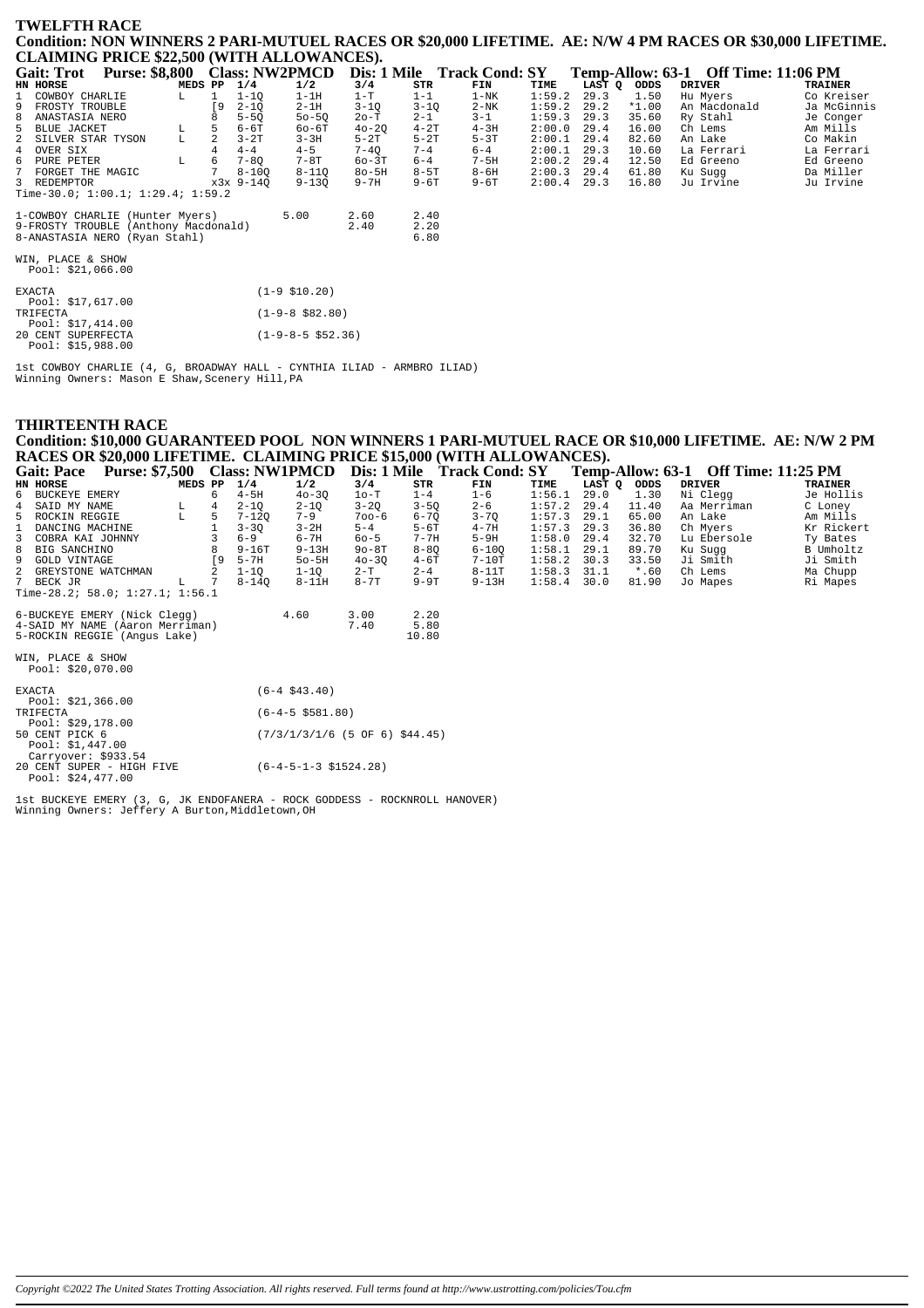#### **TWELFTH RACE Condition: NON WINNERS 2 PARI-MUTUEL RACES OR \$20,000 LIFETIME. AE: N/W 4 PM RACES OR \$30,000 LIFETIME. CLAIMING PRICE \$22,500 (WITH ALLOWANCES).**

|              | CERTIFICATION VEHICLE (WITHIN REPORT OF DRIVERS) |                                      |         |                |           |                      |           |          |                            |        |        |         |                                     |             |
|--------------|--------------------------------------------------|--------------------------------------|---------|----------------|-----------|----------------------|-----------|----------|----------------------------|--------|--------|---------|-------------------------------------|-------------|
|              | Gait: Trot                                       | Purse: \$8,800 Class: NW2PMCD        |         |                |           |                      |           |          | Dis: 1 Mile Track Cond: SY |        |        |         | Temp-Allow: 63-1 Off Time: 11:06 PM |             |
|              | <b>HN HORSE</b>                                  |                                      | MEDS PP |                | 1/4       | 1/2                  | 3/4       | STR      | FIN                        | TIME   | LAST Q | ODDS    | <b>DRIVER</b>                       | TRAINER     |
|              | COWBOY CHARLIE                                   |                                      | L       | $\mathbf{1}$   | $1 - 10$  | $1-1H$               | $1-T$     | $1 - 1$  | $1-NK$                     | 1:59.2 | 29.3   | 1.50    | Hu Myers                            | Co Kreiser  |
| 9            | FROSTY TROUBLE                                   |                                      |         | ſ9             | $2 - 10$  | $2-1H$               | $3 - 1Q$  | $3 - 10$ | $2-NK$                     | 1:59.2 | 29.2   | $*1.00$ | An Macdonald                        | Ja McGinnis |
| 8            | ANASTASIA NERO                                   |                                      |         |                | $5 - 50$  | $50 - 50$            | 20-T      | $2 - 1$  | $3 - 1$                    | 1:59.3 | 29.3   | 35.60   | Ry Stahl                            | Je Conger   |
|              | 5 BLUE JACKET                                    |                                      | L       | 5              | $6-6T$    | $60-6T$              | $40 - 20$ | $4-2T$   | $4-3H$                     | 2:00.0 | 29.4   | 16.00   | Ch Lems                             | Am Mills    |
| $\mathbf{2}$ | SILVER STAR TYSON                                |                                      | L       | $\overline{a}$ | $3-2T$    | $3 - 3H$             | $5-2T$    | $5 - 2T$ | $5-3T$                     | 2:00.1 | 29.4   | 82.60   | An Lake                             | Co Makin    |
|              | 4 OVER SIX                                       |                                      |         |                | $4 - 4$   | $4 - 5$              | $7 - 4Q$  | $7 - 4$  | $6 - 4$                    | 2:00.1 | 29.3   | 10.60   | La Ferrari                          | La Ferrari  |
| 6            | PURE PETER                                       |                                      | L       | 6              | $7 - 80$  | $7-8T$               | $60-3T$   | $6 - 4$  | $7-5H$                     | 2:00.2 | 29.4   | 12.50   | Ed Greeno                           | Ed Greeno   |
|              | 7 FORGET THE MAGIC                               |                                      |         | 7              | $8 - 100$ | $8 - 110$            | $8o-5H$   | $8-5T$   | $8 - 6H$                   | 2:00.3 | 29.4   | 61.80   | Ku Sugg                             | Da Miller   |
|              | 3 REDEMPTOR                                      |                                      |         |                | x3x 9-140 | $9 - 130$            | $9 - 7H$  | $9 - 6T$ | $9-6T$                     | 2:00.4 | 29.3   | 16.80   | Ju Irvine                           | Ju Irvine   |
|              |                                                  | Time-30.0; $1:00.1; 1:29.4; 1:59.2$  |         |                |           |                      |           |          |                            |        |        |         |                                     |             |
|              |                                                  | 1-COWBOY CHARLIE (Hunter Myers)      |         |                |           | 5.00                 | 2.60      | 2.40     |                            |        |        |         |                                     |             |
|              |                                                  | 9-FROSTY TROUBLE (Anthony Macdonald) |         |                |           |                      | 2.40      | 2.20     |                            |        |        |         |                                     |             |
|              |                                                  | 8-ANASTASIA NERO (Ryan Stahl)        |         |                |           |                      |           | 6.80     |                            |        |        |         |                                     |             |
|              |                                                  |                                      |         |                |           |                      |           |          |                            |        |        |         |                                     |             |
|              | WIN, PLACE & SHOW<br>Pool: \$21,066.00           |                                      |         |                |           |                      |           |          |                            |        |        |         |                                     |             |
|              |                                                  |                                      |         |                |           |                      |           |          |                            |        |        |         |                                     |             |
|              | <b>EXACTA</b>                                    |                                      |         |                |           | $(1-9 \; $10.20)$    |           |          |                            |        |        |         |                                     |             |
|              | Pool: \$17,617.00                                |                                      |         |                |           |                      |           |          |                            |        |        |         |                                     |             |
|              | TRIFECTA                                         |                                      |         |                |           | $(1-9-8 \ $82.80)$   |           |          |                            |        |        |         |                                     |             |
|              | Pool: $$17,414.00$                               |                                      |         |                |           |                      |           |          |                            |        |        |         |                                     |             |
|              | 20 CENT SUPERFECTA<br>Pool: $$15,988.00$         |                                      |         |                |           | $(1-9-8-5 \ $52.36)$ |           |          |                            |        |        |         |                                     |             |
|              |                                                  |                                      |         |                |           |                      |           |          |                            |        |        |         |                                     |             |

1st COWBOY CHARLIE (4, G, BROADWAY HALL - CYNTHIA ILIAD - ARMBRO ILIAD) Winning Owners: Mason E Shaw,Scenery Hill,PA

# **THIRTEENTH RACE Condition: \$10,000 GUARANTEED POOL NON WINNERS 1 PARI-MUTUEL RACE OR \$10,000 LIFETIME. AE: N/W 2 PM RACES OR \$20,000 LIFETIME. CLAIMING PRICE \$15,000 (WITH ALLOWANCES).**

| <b>Gait: Pace</b>               | <b>Purse: \$7,500</b> |    |           | <b>Class: NW1PMCD</b> |           |          | Dis: 1 Mile Track Cond: SY |        | Temp-Allow: 63-1 |         | <b>Off Time: 11:25 PM</b> |                |
|---------------------------------|-----------------------|----|-----------|-----------------------|-----------|----------|----------------------------|--------|------------------|---------|---------------------------|----------------|
| HN HORSE                        | MEDS PP               |    | 1/4       | 1/2                   | 3/4       | STR      | FIN                        | TIME   | LAST Q           | ODDS    | <b>DRIVER</b>             | <b>TRAINER</b> |
| 6 BUCKEYE EMERY                 |                       | 6  | $4-5H$    | $40 - 30$             | $1o-T$    | $1 - 4$  | $1 - 6$                    | 1:56.1 | 29.0             | 1.30    | Ni Clegg                  | Je Hollis      |
| SAID MY NAME<br>4               | L                     | 4  | $2 - 1Q$  | $2 - 10$              | $3 - 2Q$  | $3 - 5Q$ | $2 - 6$                    | 1:57.2 | 29.4             | 11.40   | Aa Merriman               | C Loney        |
| 5 ROCKIN REGGIE                 | L                     | 5  | 7-120     | $7 - 9$               | $700 - 6$ | $6 - 70$ | $3 - 70$                   | 1:57.3 | 29.1             | 65.00   | An Lake                   | Am Mills       |
| DANCING MACHINE                 |                       |    | $3 - 30$  | $3-2H$                | $5 - 4$   | $5-6T$   | $4 - 7H$                   | 1:57.3 | 29.3             | 36.80   | Ch Myers                  | Kr Rickert     |
| 3<br>COBRA KAI JOHNNY           |                       |    | $6 - 9$   | $6 - 7H$              | $60 - 5$  | $7 - 7H$ | $5-9H$                     | 1:58.0 | 29.4             | 32.70   | Lu Ebersole               | Ty Bates       |
| 8<br>BIG SANCHINO               |                       | 8  | $9 - 16T$ | $9 - 13H$             | $90 - 8T$ | $8 - 80$ | $6 - 100$                  | 1:58.1 | 29.1             | 89.70   | Ku Suqq                   | B Umholtz      |
| 9<br><b>GOLD VINTAGE</b>        |                       | ſ9 | $5-7H$    | $50 - 5H$             | $40 - 30$ | $4-6T$   | $7-10T$                    | 1:58.2 | 30.3             | 33.50   | Ji Smith                  | Ji Smith       |
| 2 GREYSTONE WATCHMAN            |                       |    | $1 - 10$  | $1 - 10$              | $2 - T$   | $2 - 4$  | $8-11T$                    | 1:58.3 | 31.1             | $*$ .60 | Ch Lems                   | Ma Chupp       |
| 7 BECK JR                       | L                     |    | 8-140     | $8 - 11H$             | $8 - 7T$  | $9-9T$   | $9 - 13H$                  | 1:58.4 | 30.0             | 81.90   | Jo Mapes                  | Ri Mapes       |
| Time-28.2; 58.0; 1:27.1; 1:56.1 |                       |    |           |                       |           |          |                            |        |                  |         |                           |                |
| 6-BUCKEYE EMERY (Nick Clegg)    |                       |    |           | 4.60                  | 3.00      | 2.20     |                            |        |                  |         |                           |                |
| 4-SAID MY NAME (Aaron Merriman) |                       |    |           |                       | 7.40      | 5.80     |                            |        |                  |         |                           |                |
| 5-ROCKIN REGGIE (Angus Lake)    |                       |    |           |                       |           | 10.80    |                            |        |                  |         |                           |                |
| WIN, PLACE & SHOW               |                       |    |           |                       |           |          |                            |        |                  |         |                           |                |
| Pool: \$20,070.00               |                       |    |           |                       |           |          |                            |        |                  |         |                           |                |
| <b>EXACTA</b>                   |                       |    |           | $(6-4 \; $43.40)$     |           |          |                            |        |                  |         |                           |                |
| Pool: $$21,366.00$              |                       |    |           |                       |           |          |                            |        |                  |         |                           |                |
| TRIFECTA                        |                       |    |           | $(6-4-5 \ $581.80)$   |           |          |                            |        |                  |         |                           |                |

|                | Pool: \$29,178.00 |                                  |  |  |
|----------------|-------------------|----------------------------------|--|--|
| 50 CENT PICK 6 |                   | $(7/3/1/3/1/6$ (5 OF 6) \$44.45) |  |  |
|                | Pool: \$1 447 00  |                                  |  |  |

Pool: \$1,447.00 Carryover: \$933.54 20 CENT SUPER - HIGH FIVE (6-4-5-1-3 \$1524.28) Pool: \$24,477.00

1st BUCKEYE EMERY (3, G, JK ENDOFANERA - ROCK GODDESS - ROCKNROLL HANOVER) Winning Owners: Jeffery A Burton,Middletown,OH

*Copyright ©2022 The United States Trotting Association. All rights reserved. Full terms found at http://www.ustrotting.com/policies/Tou.cfm*